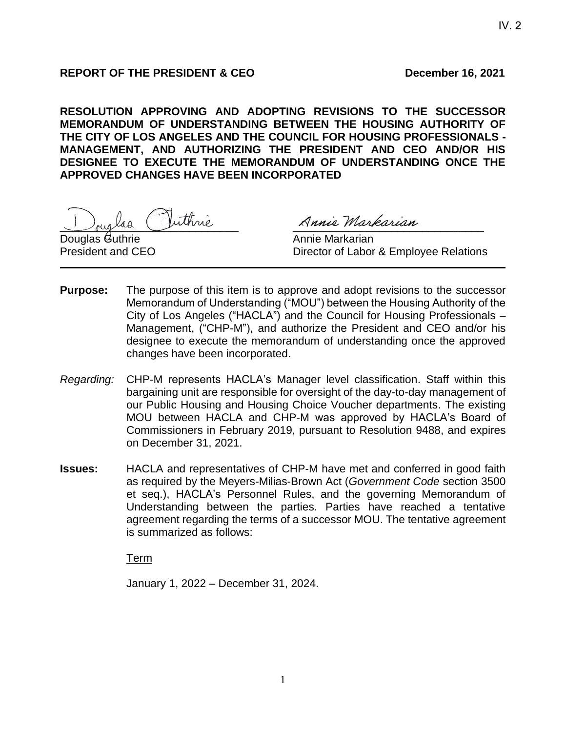# **REPORT OF THE PRESIDENT & CEO December 16, 2021**

**RESOLUTION APPROVING AND ADOPTING REVISIONS TO THE SUCCESSOR MEMORANDUM OF UNDERSTANDING BETWEEN THE HOUSING AUTHORITY OF THE CITY OF LOS ANGELES AND THE COUNCIL FOR HOUSING PROFESSIONALS - MANAGEMENT, AND AUTHORIZING THE PRESIDENT AND CEO AND/OR HIS DESIGNEE TO EXECUTE THE MEMORANDUM OF UNDERSTANDING ONCE THE APPROVED CHANGES HAVE BEEN INCORPORATED**

Juglas Inthrie Annie Markarian

Douglas Guthrie **Annie Markarian** 

President and CEO **Director of Labor & Employee Relations** 

- **Purpose:** The purpose of this item is to approve and adopt revisions to the successor Memorandum of Understanding ("MOU") between the Housing Authority of the City of Los Angeles ("HACLA") and the Council for Housing Professionals – Management, ("CHP-M"), and authorize the President and CEO and/or his designee to execute the memorandum of understanding once the approved changes have been incorporated.
- *Regarding:* CHP-M represents HACLA's Manager level classification. Staff within this bargaining unit are responsible for oversight of the day-to-day management of our Public Housing and Housing Choice Voucher departments. The existing MOU between HACLA and CHP-M was approved by HACLA's Board of Commissioners in February 2019, pursuant to Resolution 9488, and expires on December 31, 2021.
- **Issues:** HACLA and representatives of CHP-M have met and conferred in good faith as required by the Meyers-Milias-Brown Act (*Government Code* section 3500 et seq.), HACLA's Personnel Rules, and the governing Memorandum of Understanding between the parties. Parties have reached a tentative agreement regarding the terms of a successor MOU. The tentative agreement is summarized as follows:

Term

January 1, 2022 – December 31, 2024.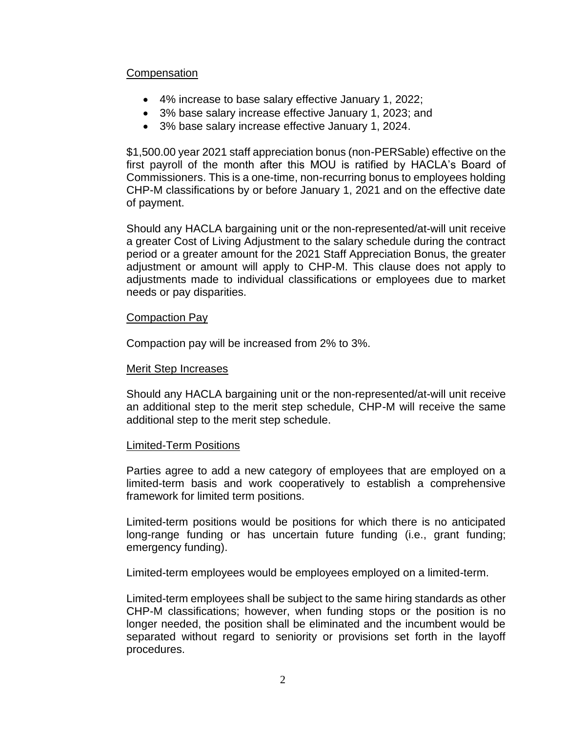### **Compensation**

- 4% increase to base salary effective January 1, 2022;
- 3% base salary increase effective January 1, 2023; and
- 3% base salary increase effective January 1, 2024.

\$1,500.00 year 2021 staff appreciation bonus (non-PERSable) effective on the first payroll of the month after this MOU is ratified by HACLA's Board of Commissioners. This is a one-time, non-recurring bonus to employees holding CHP-M classifications by or before January 1, 2021 and on the effective date of payment.

Should any HACLA bargaining unit or the non-represented/at-will unit receive a greater Cost of Living Adjustment to the salary schedule during the contract period or a greater amount for the 2021 Staff Appreciation Bonus, the greater adjustment or amount will apply to CHP-M. This clause does not apply to adjustments made to individual classifications or employees due to market needs or pay disparities.

### Compaction Pay

Compaction pay will be increased from 2% to 3%.

### Merit Step Increases

Should any HACLA bargaining unit or the non-represented/at-will unit receive an additional step to the merit step schedule, CHP-M will receive the same additional step to the merit step schedule.

### Limited-Term Positions

Parties agree to add a new category of employees that are employed on a limited-term basis and work cooperatively to establish a comprehensive framework for limited term positions.

Limited-term positions would be positions for which there is no anticipated long-range funding or has uncertain future funding (i.e., grant funding; emergency funding).

Limited-term employees would be employees employed on a limited-term.

Limited-term employees shall be subject to the same hiring standards as other CHP-M classifications; however, when funding stops or the position is no longer needed, the position shall be eliminated and the incumbent would be separated without regard to seniority or provisions set forth in the layoff procedures.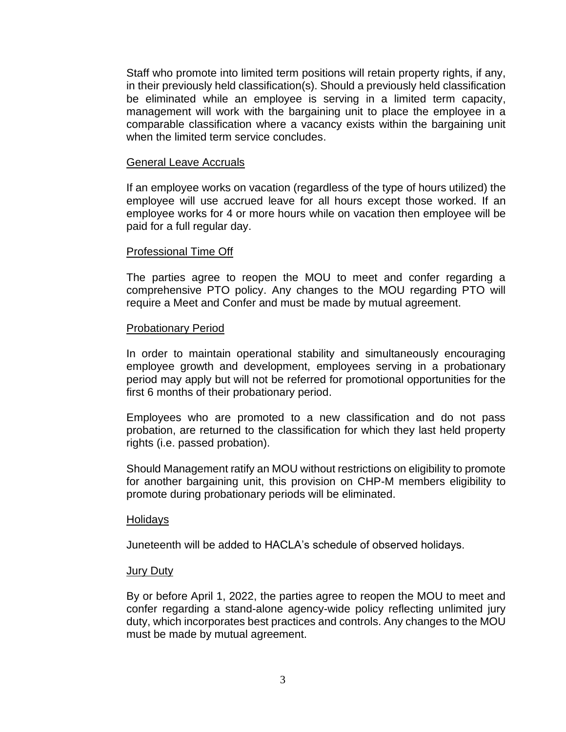Staff who promote into limited term positions will retain property rights, if any, in their previously held classification(s). Should a previously held classification be eliminated while an employee is serving in a limited term capacity, management will work with the bargaining unit to place the employee in a comparable classification where a vacancy exists within the bargaining unit when the limited term service concludes.

#### General Leave Accruals

If an employee works on vacation (regardless of the type of hours utilized) the employee will use accrued leave for all hours except those worked. If an employee works for 4 or more hours while on vacation then employee will be paid for a full regular day.

#### Professional Time Off

The parties agree to reopen the MOU to meet and confer regarding a comprehensive PTO policy. Any changes to the MOU regarding PTO will require a Meet and Confer and must be made by mutual agreement.

#### Probationary Period

In order to maintain operational stability and simultaneously encouraging employee growth and development, employees serving in a probationary period may apply but will not be referred for promotional opportunities for the first 6 months of their probationary period.

Employees who are promoted to a new classification and do not pass probation, are returned to the classification for which they last held property rights (i.e. passed probation).

Should Management ratify an MOU without restrictions on eligibility to promote for another bargaining unit, this provision on CHP-M members eligibility to promote during probationary periods will be eliminated.

#### Holidays

Juneteenth will be added to HACLA's schedule of observed holidays.

#### Jury Duty

By or before April 1, 2022, the parties agree to reopen the MOU to meet and confer regarding a stand-alone agency-wide policy reflecting unlimited jury duty, which incorporates best practices and controls. Any changes to the MOU must be made by mutual agreement.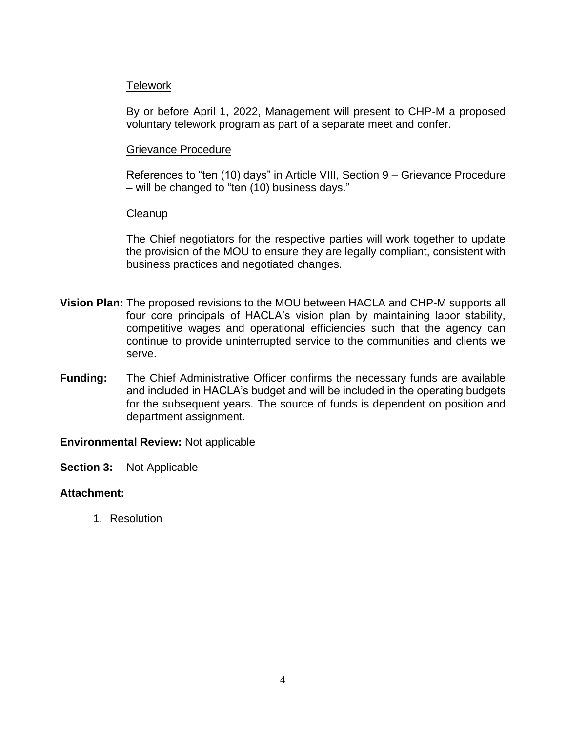## Telework

By or before April 1, 2022, Management will present to CHP-M a proposed voluntary telework program as part of a separate meet and confer.

## Grievance Procedure

References to "ten (10) days" in Article VIII, Section 9 – Grievance Procedure – will be changed to "ten (10) business days."

## **Cleanup**

The Chief negotiators for the respective parties will work together to update the provision of the MOU to ensure they are legally compliant, consistent with business practices and negotiated changes.

- **Vision Plan:** The proposed revisions to the MOU between HACLA and CHP-M supports all four core principals of HACLA's vision plan by maintaining labor stability, competitive wages and operational efficiencies such that the agency can continue to provide uninterrupted service to the communities and clients we serve.
- **Funding:** The Chief Administrative Officer confirms the necessary funds are available and included in HACLA's budget and will be included in the operating budgets for the subsequent years. The source of funds is dependent on position and department assignment.

## **Environmental Review:** Not applicable

**Section 3:** Not Applicable

# **Attachment:**

1. Resolution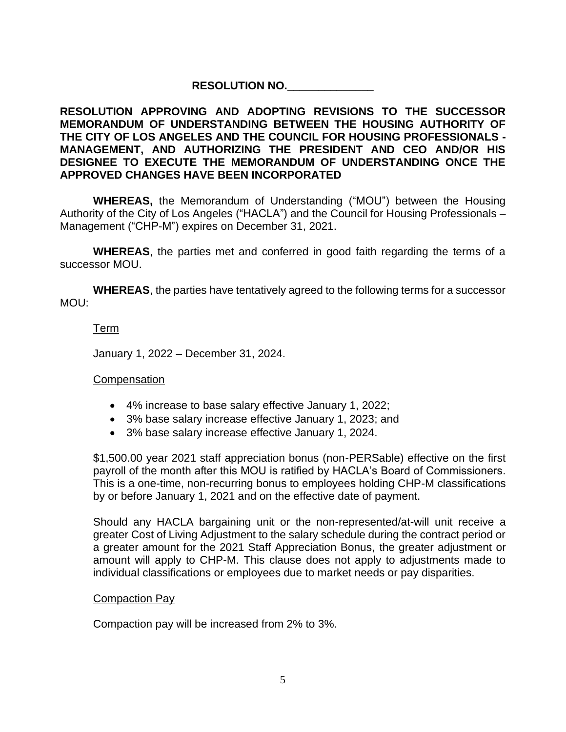# **RESOLUTION NO.\_\_\_\_\_\_\_\_\_\_\_\_\_\_**

## **RESOLUTION APPROVING AND ADOPTING REVISIONS TO THE SUCCESSOR MEMORANDUM OF UNDERSTANDING BETWEEN THE HOUSING AUTHORITY OF THE CITY OF LOS ANGELES AND THE COUNCIL FOR HOUSING PROFESSIONALS - MANAGEMENT, AND AUTHORIZING THE PRESIDENT AND CEO AND/OR HIS DESIGNEE TO EXECUTE THE MEMORANDUM OF UNDERSTANDING ONCE THE APPROVED CHANGES HAVE BEEN INCORPORATED**

**WHEREAS,** the Memorandum of Understanding ("MOU") between the Housing Authority of the City of Los Angeles ("HACLA") and the Council for Housing Professionals – Management ("CHP-M") expires on December 31, 2021.

**WHEREAS**, the parties met and conferred in good faith regarding the terms of a successor MOU.

**WHEREAS**, the parties have tentatively agreed to the following terms for a successor MOU:

## Term

January 1, 2022 – December 31, 2024.

## **Compensation**

- 4% increase to base salary effective January 1, 2022;
- 3% base salary increase effective January 1, 2023; and
- 3% base salary increase effective January 1, 2024.

\$1,500.00 year 2021 staff appreciation bonus (non-PERSable) effective on the first payroll of the month after this MOU is ratified by HACLA's Board of Commissioners. This is a one-time, non-recurring bonus to employees holding CHP-M classifications by or before January 1, 2021 and on the effective date of payment.

Should any HACLA bargaining unit or the non-represented/at-will unit receive a greater Cost of Living Adjustment to the salary schedule during the contract period or a greater amount for the 2021 Staff Appreciation Bonus, the greater adjustment or amount will apply to CHP-M. This clause does not apply to adjustments made to individual classifications or employees due to market needs or pay disparities.

## Compaction Pay

Compaction pay will be increased from 2% to 3%.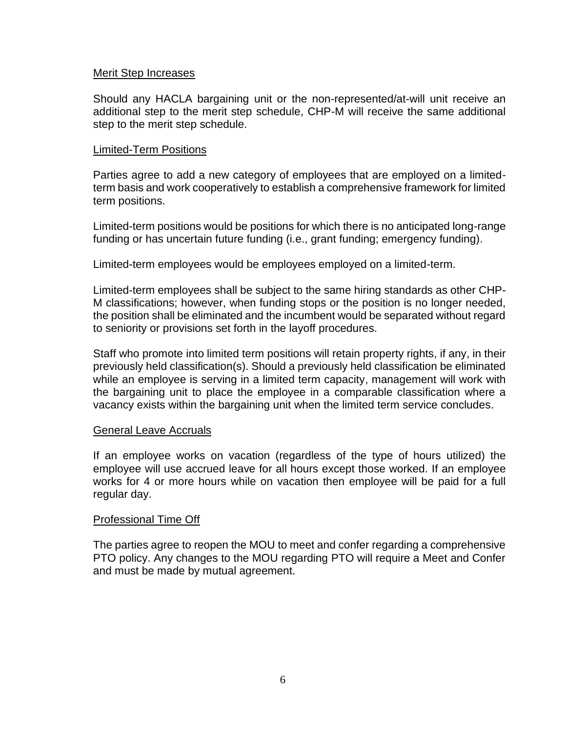### Merit Step Increases

Should any HACLA bargaining unit or the non-represented/at-will unit receive an additional step to the merit step schedule, CHP-M will receive the same additional step to the merit step schedule.

### Limited-Term Positions

Parties agree to add a new category of employees that are employed on a limitedterm basis and work cooperatively to establish a comprehensive framework for limited term positions.

Limited-term positions would be positions for which there is no anticipated long-range funding or has uncertain future funding (i.e., grant funding; emergency funding).

Limited-term employees would be employees employed on a limited-term.

Limited-term employees shall be subject to the same hiring standards as other CHP-M classifications; however, when funding stops or the position is no longer needed, the position shall be eliminated and the incumbent would be separated without regard to seniority or provisions set forth in the layoff procedures.

Staff who promote into limited term positions will retain property rights, if any, in their previously held classification(s). Should a previously held classification be eliminated while an employee is serving in a limited term capacity, management will work with the bargaining unit to place the employee in a comparable classification where a vacancy exists within the bargaining unit when the limited term service concludes.

### General Leave Accruals

If an employee works on vacation (regardless of the type of hours utilized) the employee will use accrued leave for all hours except those worked. If an employee works for 4 or more hours while on vacation then employee will be paid for a full regular day.

### Professional Time Off

The parties agree to reopen the MOU to meet and confer regarding a comprehensive PTO policy. Any changes to the MOU regarding PTO will require a Meet and Confer and must be made by mutual agreement.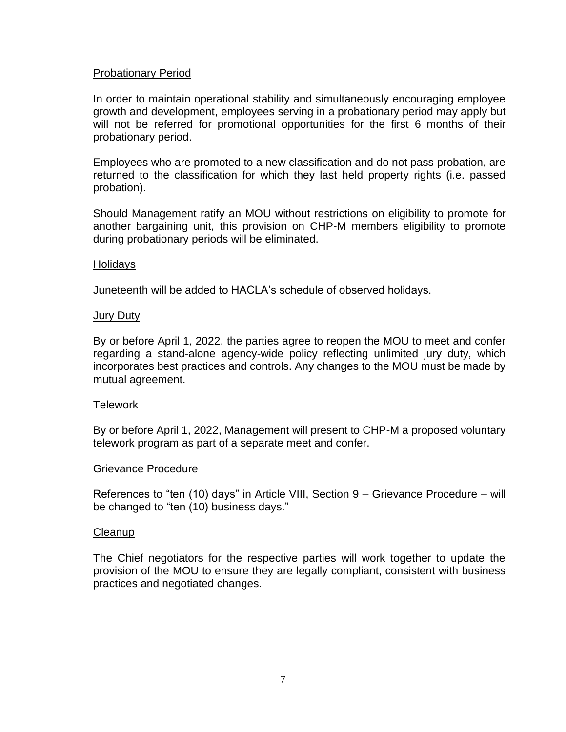### Probationary Period

In order to maintain operational stability and simultaneously encouraging employee growth and development, employees serving in a probationary period may apply but will not be referred for promotional opportunities for the first 6 months of their probationary period.

Employees who are promoted to a new classification and do not pass probation, are returned to the classification for which they last held property rights (i.e. passed probation).

Should Management ratify an MOU without restrictions on eligibility to promote for another bargaining unit, this provision on CHP-M members eligibility to promote during probationary periods will be eliminated.

#### Holidays

Juneteenth will be added to HACLA's schedule of observed holidays.

### Jury Duty

By or before April 1, 2022, the parties agree to reopen the MOU to meet and confer regarding a stand-alone agency-wide policy reflecting unlimited jury duty, which incorporates best practices and controls. Any changes to the MOU must be made by mutual agreement.

### Telework

By or before April 1, 2022, Management will present to CHP-M a proposed voluntary telework program as part of a separate meet and confer.

### Grievance Procedure

References to "ten (10) days" in Article VIII, Section 9 – Grievance Procedure – will be changed to "ten (10) business days."

### **Cleanup**

The Chief negotiators for the respective parties will work together to update the provision of the MOU to ensure they are legally compliant, consistent with business practices and negotiated changes.